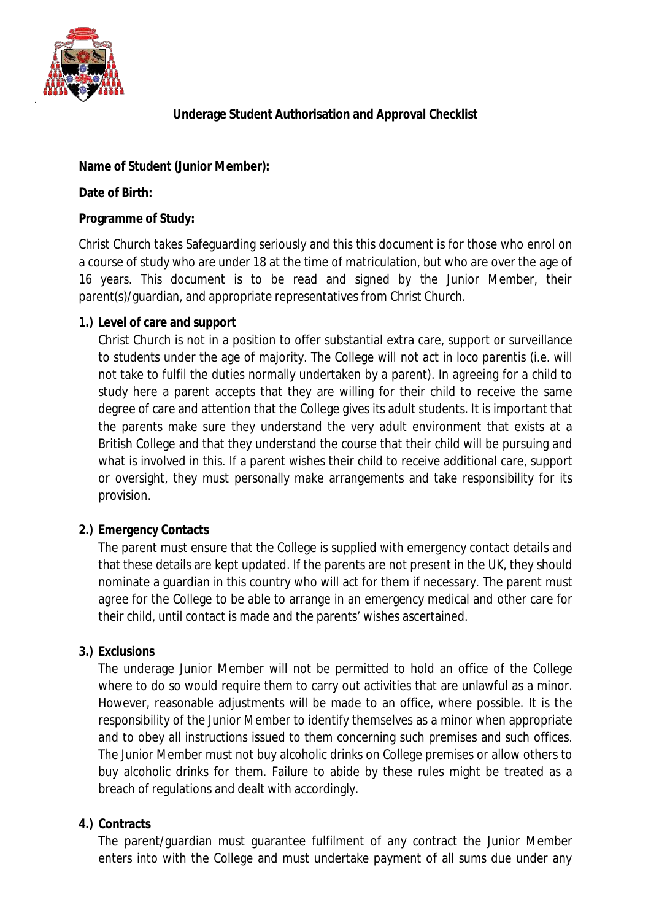

# **Underage Student Authorisation and Approval Checklist**

## **Name of Student (Junior Member):**

#### **Date of Birth:**

### **Programme of Study:**

Christ Church takes Safeguarding seriously and this this document is for those who enrol on a course of study who are under 18 at the time of matriculation, but who are over the age of 16 years. This document is to be read and signed by the Junior Member, their parent(s)/guardian, and appropriate representatives from Christ Church.

## **1.) Level of care and support**

Christ Church is not in a position to offer substantial extra care, support or surveillance to students under the age of majority. The College will not act *in loco parentis* (i.e. will not take to fulfil the duties normally undertaken by a parent)*.* In agreeing for a child to study here a parent accepts that they are willing for their child to receive the same degree of care and attention that the College gives its adult students. It is important that the parents make sure they understand the very adult environment that exists at a British College and that they understand the course that their child will be pursuing and what is involved in this. If a parent wishes their child to receive additional care, support or oversight, they must personally make arrangements and take responsibility for its provision.

### **2.) Emergency Contacts**

The parent must ensure that the College is supplied with emergency contact details and that these details are kept updated. If the parents are not present in the UK, they should nominate a guardian in this country who will act for them if necessary. The parent must agree for the College to be able to arrange in an emergency medical and other care for their child, until contact is made and the parents' wishes ascertained.

### **3.) Exclusions**

The underage Junior Member will not be permitted to hold an office of the College where to do so would require them to carry out activities that are unlawful as a minor. However, reasonable adjustments will be made to an office, where possible. It is the responsibility of the Junior Member to identify themselves as a minor when appropriate and to obey all instructions issued to them concerning such premises and such offices. The Junior Member must not buy alcoholic drinks on College premises or allow others to buy alcoholic drinks for them. Failure to abide by these rules might be treated as a breach of regulations and dealt with accordingly.

# **4.) Contracts**

The parent/guardian must guarantee fulfilment of any contract the Junior Member enters into with the College and must undertake payment of all sums due under any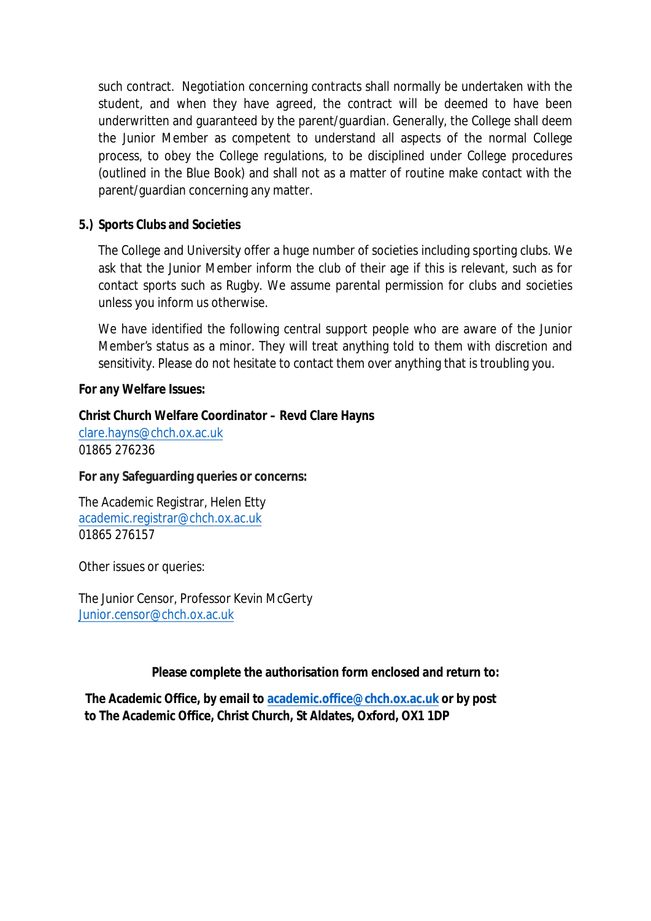such contract. Negotiation concerning contracts shall normally be undertaken with the student, and when they have agreed, the contract will be deemed to have been underwritten and guaranteed by the parent/guardian. Generally, the College shall deem the Junior Member as competent to understand all aspects of the normal College process, to obey the College regulations, to be disciplined under College procedures (outlined in the Blue Book) and shall not as a matter of routine make contact with the parent/guardian concerning any matter.

## **5.) Sports Clubs and Societies**

The College and University offer a huge number of societies including sporting clubs. We ask that the Junior Member inform the club of their age if this is relevant, such as for contact sports such as Rugby. We assume parental permission for clubs and societies unless you inform us otherwise.

We have identified the following central support people who are aware of the Junior Member's status as a minor. They will treat anything told to them with discretion and sensitivity. Please do not hesitate to contact them over anything that is troubling you.

### **For any Welfare Issues:**

### **Christ Church Welfare Coordinator – Revd Clare Hayns**

[clare.hayns@chch.ox.ac.uk](mailto:clare.hayns@chch.ox.ac.uk) 01865 276236

**For any Safeguarding queries or concerns:**

The Academic Registrar, Helen Etty [academic.registrar@chch.ox.ac.uk](mailto:academic.registrar@chch.ox.ac.uk) 01865 276157

Other issues or queries:

The Junior Censor, Professor Kevin McGerty [Junior.censor@chch.ox.ac.uk](mailto:Junior.censor@chch.ox.ac.uk)

### **Please complete the authorisation form enclosed and return to:**

**The Academic Office, by email to academic[.office@chch.ox.ac.uk or by post](mailto:academic.registrar@chch.ox.ac.uk) to The Academic Office, Christ Church, St Aldates, Oxford, OX1 1DP**